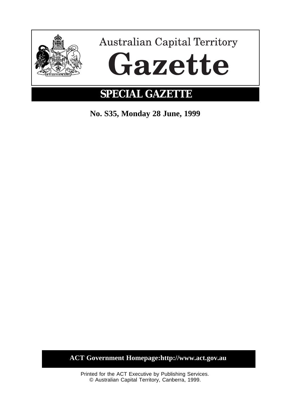

**No. S35, Monday 28 June, 1999**

**ACT Government Homepage:http://www.act.gov.au**

Printed for the ACT Executive by Publishing Services. © Australian Capital Territory, Canberra, 1999.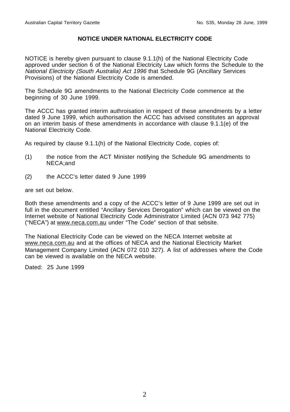# **NOTICE UNDER NATIONAL ELECTRICITY CODE**

NOTICE is hereby given pursuant to clause 9.1.1(h) of the National Electricity Code approved under section 6 of the National Electricity Law which forms the Schedule to the National Electricity (South Australia) Act 1996 that Schedule 9G (Ancillary Services Provisions) of the National Electricity Code is amended.

The Schedule 9G amendments to the National Electricity Code commence at the beginning of 30 June 1999.

The ACCC has granted interim authroisation in respect of these amendments by a letter dated 9 June 1999, which authorisation the ACCC has advised constitutes an approval on an interim basis of these amendments in accordance with clause 9.1.1(e) of the National Electricity Code.

As required by clause 9.1.1(h) of the National Electricity Code, copies of:

- (1) the notice from the ACT Minister notifying the Schedule 9G amendments to NECA;and
- (2) the ACCC's letter dated 9 June 1999

are set out below.

Both these amendments and a copy of the ACCC's letter of 9 June 1999 are set out in full in the document entitled "Ancillary Services Derogation" which can be viewed on the Internet website of National Electricity Code Administrator Limited (ACN 073 942 775) ("NECA") at www.neca.com.au under "The Code" section of that sebsite.

The National Electricity Code can be viewed on the NECA Internet website at www.neca.com.au and at the offices of NECA and the National Electricity Market Management Company Limited (ACN 072 010 327). A list of addresses where the Code can be viewed is available on the NECA website.

Dated: 25 June 1999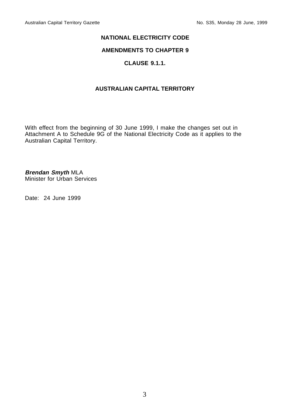## **NATIONAL ELECTRICITY CODE**

## **AMENDMENTS TO CHAPTER 9**

# **CLAUSE 9.1.1.**

# **AUSTRALIAN CAPITAL TERRITORY**

With effect from the beginning of 30 June 1999, I make the changes set out in Attachment A to Schedule 9G of the National Electricity Code as it applies to the Australian Capital Territory.

**Brendan Smyth** MLA Minister for Urban Services

Date: 24 June 1999

3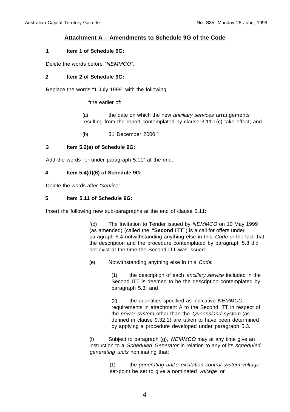# **Attachment A – Amendments to Schedule 9G of the Code**

#### **1 Item 1 of Schedule 9G:**

Delete the words before "NEMMCO".

#### **2 Item 2 of Schedule 9G:**

Replace the words "1 July 1999" with the following:

"the earlier of:

(a) the date on which the new ancillary services arrangements resulting from the report contemplated by clause 3.11.1(c) take effect; and

(b) 31 December 2000."

## **3 Item 5.2(a) of Schedule 9G:**

Add the words "or under paragraph 5.11" at the end.

#### **4 Item 5.4(d)(6) of Schedule 9G:**

Delete the words after "service".

#### **5 Item 5.11 of Schedule 9G:**

Insert the following new sub-paragraphs at the end of clause 5.11:

"(d) The Invitation to Tender issued by NEMMCO on 10 May 1999 (as amended) (called the **"Second ITT"**) is a call for offers under paragraph 5.4 notwithstanding anything else in this Code or the fact that the description and the procedure contemplated by paragraph 5.3 did not exist at the time the Second ITT was issued.

(e) Notwithstanding anything else in this Code:

(1) the description of each ancillary service included in the Second ITT is deemed to be the description contemplated by paragraph 5.3; and

(2) the quantities specified as indicative NEMMCO requirements in attachment A to the Second ITT in respect of the power system other than the Queensland system (as defined in clause 9.32.1) are taken to have been determined by applying a procedure developed under paragraph 5.3.

(f) Subject to paragraph  $(q)$ ,  $NEMMCO$  may at any time give an instruction to a Scheduled Generator in relation to any of its scheduled generating units nominating that:

> (1) the generating unit's excitation control system voltage set-point be set to give a nominated voltage; or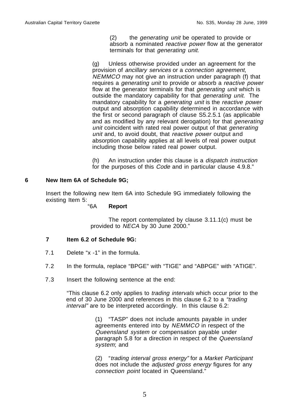(2) the generating unit be operated to provide or absorb a nominated reactive power flow at the generator terminals for that generating unit.

(g) Unless otherwise provided under an agreement for the provision of ancillary services or a connection agreement, NEMMCO may not give an instruction under paragraph (f) that requires a generating unit to provide or absorb a reactive power flow at the generator terminals for that *generating unit* which is outside the mandatory capability for that generating unit. The mandatory capability for a generating unit is the reactive power output and absorption capability determined in accordance with the first or second paragraph of clause S5.2.5.1 (as applicable and as modified by any relevant derogation) for that generating unit coincident with rated real power output of that *generating* unit and, to avoid doubt, that reactive power output and absorption capability applies at all levels of real power output including those below rated real power output.

(h) An instruction under this clause is a dispatch instruction for the purposes of this Code and in particular clause 4.9.8."

## **6 New Item 6A of Schedule 9G;**

Insert the following new Item 6A into Schedule 9G immediately following the existing Item 5:

# "6A **Report**

The report contemplated by clause 3.11.1(c) must be provided to NECA by 30 June 2000."

## **7 Item 6.2 of Schedule 9G:**

- 7.1 Delete "x -1" in the formula.
- 7.2 In the formula, replace "BPGE" with "TIGE" and "ABPGE" with "ATIGE".
- 7.3 Insert the following sentence at the end:

"This clause 6.2 only applies to trading intervals which occur prior to the end of 30 June 2000 and references in this clause 6.2 to a "trading" interval" are to be interpreted accordingly. In this clause 6.2:

> (1) "TASP" does not include amounts payable in under agreements entered into by NEMMCO in respect of the Queensland system or compensation payable under paragraph 5.8 for a direction in respect of the Queensland system; and

> (2) "trading interval gross energy" for a Market Participant does not include the adjusted gross energy figures for any connection point located in Queensland."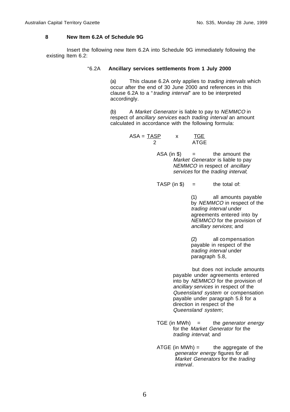#### **8 New Item 6.2A of Schedule 9G**

Insert the following new Item 6.2A into Schedule 9G immediately following the existing Item 6.2:

#### "6.2A **Ancillary services settlements from 1 July 2000**

(a) This clause 6.2A only applies to trading intervals which occur after the end of 30 June 2000 and references in this clause 6.2A to a "trading interval" are to be interpreted accordingly.

(b) A Market Generator is liable to pay to NEMMCO in respect of ancillary services each trading interval an amount calculated in accordance with the following formula:

> $ASA = TASP$   $x$   $TGE$ 2 ATGE

> > $ASA (in $)$  = the amount the Market Generator is liable to pay NEMMCO in respect of ancillary services for the trading interval;

TASP (in  $\$\$ ) = the total of:

(1) all amounts payable by NEMMCO in respect of the trading interval under agreements entered into by NEMMCO for the provision of ancillary services; and

(2) all compensation payable in respect of the trading interval under paragraph 5.8,

but does not include amounts payable under agreements entered  $into$  by *NEMMCO* for the provision of ancillary services in respect of the Queensland system or compensation payable under paragraph 5.8 for a direction in respect of the Queensland system;

TGE (in MWh)  $=$  the generator energy for the Market Generator for the trading interval; and

ATGE (in MWh)  $=$  the aggregate of the generator energy figures for all Market Generators for the trading interval.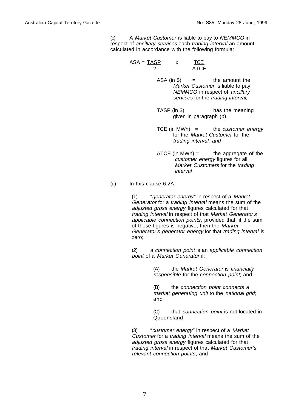(c) A Market Customer is liable to pay to NEMMCO in respect of ancillary services each trading interval an amount calculated in accordance with the following formula:

$$
ASA = \frac{TASP}{2} \qquad x \qquad \frac{ICE}{ATCE}
$$

 $ASA (in $)$  = the amount the Market Customer is liable to pay NEMMCO in respect of ancillary services for the trading interval;

- TASP (in \$) has the meaning given in paragraph (b).
- $TCE$  (in MWh) = the customer energy for the Market Customer for the trading interval; and
- $ATCE$  (in MWh) = the aggregate of the customer energy figures for all Market Customers for the trading interval.

#### (d) In this clause 6.2A:

(1) "generator energy" in respect of a Market Generator for a trading interval means the sum of the adjusted gross energy figures calculated for that trading interval in respect of that Market Generator's applicable connection points, provided that, if the sum of those figures is negative, then the Market Generator's generator energy for that trading interval is zero;

(2) a connection point is an applicable connection point of a Market Generator if:

> (A) the Market Generator is financially responsible for the connection point; and

(B) the connection point connects a market generating unit to the national grid; and

(C) that connection point is not located in Queensland

(3) "customer energy" in respect of a Market Customer for a trading interval means the sum of the adjusted gross energy figures calculated for that trading interval in respect of that Market Customer's relevant connection points; and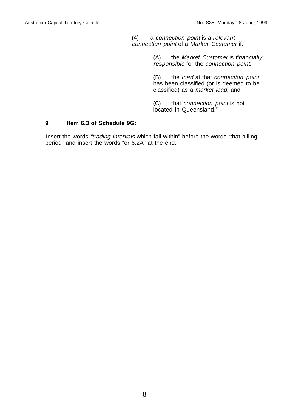(4) a connection point is a relevant connection point of a Market Customer if:

> (A) the Market Customer is financially responsible for the connection point;

(B) the load at that connection point has been classified (or is deemed to be classified) as a market load; and

(C) that connection point is not located in Queensland."

# **9 Item 6.3 of Schedule 9G:**

Insert the words "trading intervals which fall within" before the words "that billing period" and insert the words "or 6.2A" at the end.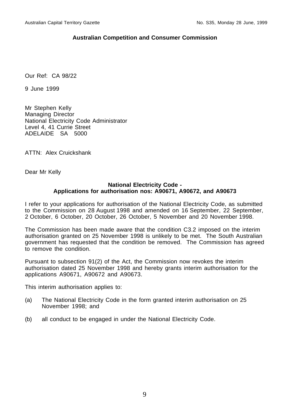# **Australian Competition and Consumer Commission**

Our Ref: CA 98/22

9 June 1999

Mr Stephen Kelly Managing Director National Electricity Code Administrator Level 4, 41 Currie Street ADELAIDE SA 5000

ATTN: Alex Cruickshank

Dear Mr Kelly

## **National Electricity Code - Applications for authorisation nos: A90671, A90672, and A90673**

I refer to your applications for authorisation of the National Electricity Code, as submitted to the Commission on 28 August 1998 and amended on 16 September, 22 September, 2 October, 6 October, 20 October, 26 October, 5 November and 20 November 1998.

The Commission has been made aware that the condition C3.2 imposed on the interim authorisation granted on 25 November 1998 is unlikely to be met. The South Australian government has requested that the condition be removed. The Commission has agreed to remove the condition.

Pursuant to subsection 91(2) of the Act, the Commission now revokes the interim authorisation dated 25 November 1998 and hereby grants interim authorisation for the applications A90671, A90672 and A90673.

This interim authorisation applies to:

- (a) The National Electricity Code in the form granted interim authorisation on 25 November 1998; and
- (b) all conduct to be engaged in under the National Electricity Code.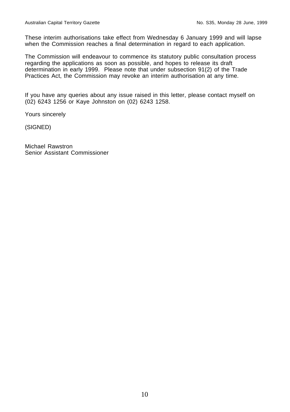These interim authorisations take effect from Wednesday 6 January 1999 and will lapse when the Commission reaches a final determination in regard to each application.

The Commission will endeavour to commence its statutory public consultation process regarding the applications as soon as possible, and hopes to release its draft determination in early 1999. Please note that under subsection 91(2) of the Trade Practices Act, the Commission may revoke an interim authorisation at any time.

If you have any queries about any issue raised in this letter, please contact myself on (02) 6243 1256 or Kaye Johnston on (02) 6243 1258.

Yours sincerely

(SIGNED)

Michael Rawstron Senior Assistant Commissioner